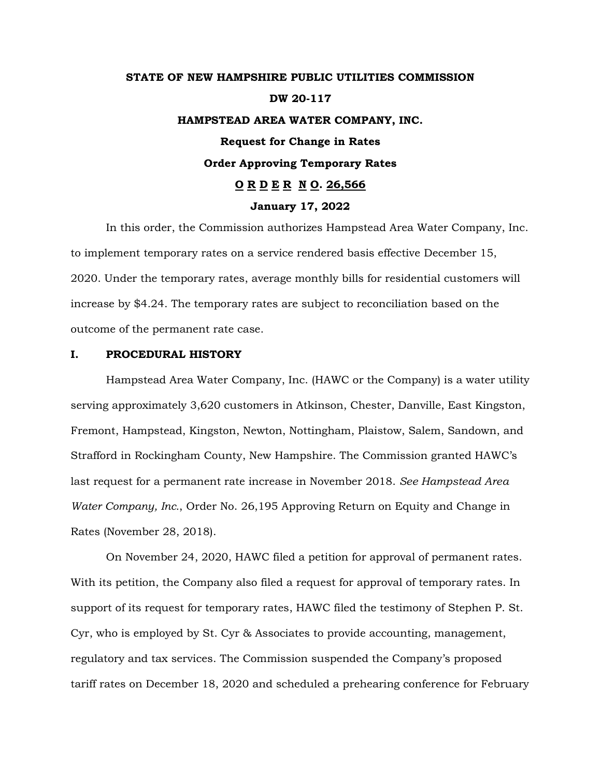# **STATE OF NEW HAMPSHIRE PUBLIC UTILITIES COMMISSION DW 20-117 HAMPSTEAD AREA WATER COMPANY, INC. Request for Change in Rates Order Approving Temporary Rates O R D E R N O. 26,566 January 17, 2022**

In this order, the Commission authorizes Hampstead Area Water Company, Inc. to implement temporary rates on a service rendered basis effective December 15, 2020. Under the temporary rates, average monthly bills for residential customers will increase by \$4.24. The temporary rates are subject to reconciliation based on the outcome of the permanent rate case.

## **I. PROCEDURAL HISTORY**

Hampstead Area Water Company, Inc. (HAWC or the Company) is a water utility serving approximately 3,620 customers in Atkinson, Chester, Danville, East Kingston, Fremont, Hampstead, Kingston, Newton, Nottingham, Plaistow, Salem, Sandown, and Strafford in Rockingham County, New Hampshire. The Commission granted HAWC's last request for a permanent rate increase in November 2018. *See Hampstead Area Water Company, Inc.*, Order No. 26,195 Approving Return on Equity and Change in Rates (November 28, 2018).

On November 24, 2020, HAWC filed a petition for approval of permanent rates. With its petition, the Company also filed a request for approval of temporary rates. In support of its request for temporary rates, HAWC filed the testimony of Stephen P. St. Cyr, who is employed by St. Cyr & Associates to provide accounting, management, regulatory and tax services. The Commission suspended the Company's proposed tariff rates on December 18, 2020 and scheduled a prehearing conference for February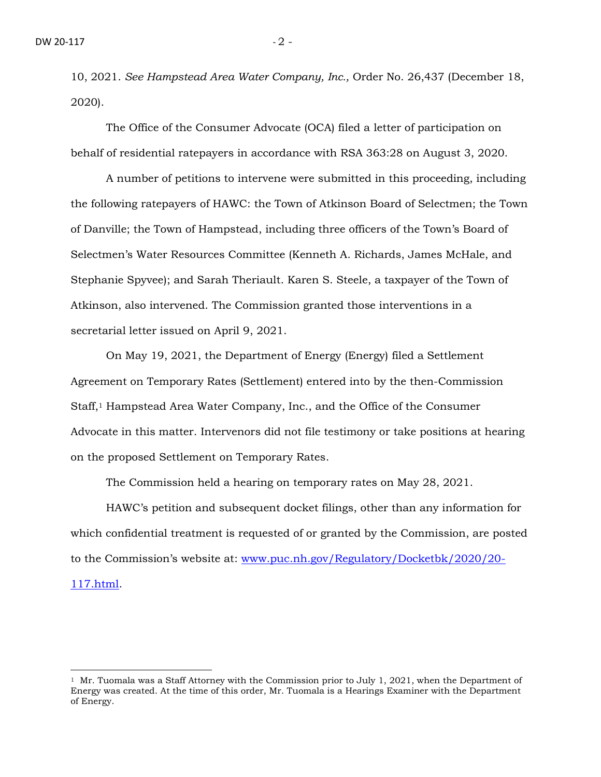10, 2021. *See Hampstead Area Water Company, Inc.,* Order No. 26,437 (December 18, 2020).

The Office of the Consumer Advocate (OCA) filed a letter of participation on behalf of residential ratepayers in accordance with RSA 363:28 on August 3, 2020.

A number of petitions to intervene were submitted in this proceeding, including the following ratepayers of HAWC: the Town of Atkinson Board of Selectmen; the Town of Danville; the Town of Hampstead, including three officers of the Town's Board of Selectmen's Water Resources Committee (Kenneth A. Richards, James McHale, and Stephanie Spyvee); and Sarah Theriault. Karen S. Steele, a taxpayer of the Town of Atkinson, also intervened. The Commission granted those interventions in a secretarial letter issued on April 9, 2021.

On May 19, 2021, the Department of Energy (Energy) filed a Settlement Agreement on Temporary Rates (Settlement) entered into by the then-Commission Staff,<sup>1</sup> Hampstead Area Water Company, Inc., and the Office of the Consumer Advocate in this matter. Intervenors did not file testimony or take positions at hearing on the proposed Settlement on Temporary Rates.

The Commission held a hearing on temporary rates on May 28, 2021.

HAWC's petition and subsequent docket filings, other than any information for which confidential treatment is requested of or granted by the Commission, are posted to the Commission's website at: [www.puc.nh.gov/Regulatory/Docketbk/2020/20-](http://www.puc.nh.gov/Regulatory/Docketbk/2020/20-117.html) [117.html.](http://www.puc.nh.gov/Regulatory/Docketbk/2020/20-117.html)

<sup>&</sup>lt;sup>1</sup> Mr. Tuomala was a Staff Attorney with the Commission prior to July 1, 2021, when the Department of Energy was created. At the time of this order, Mr. Tuomala is a Hearings Examiner with the Department of Energy.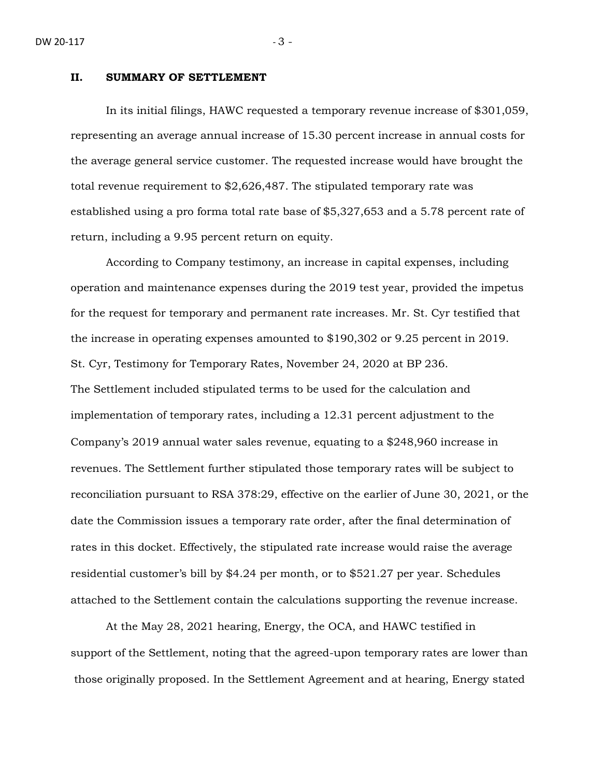#### **II. SUMMARY OF SETTLEMENT**

In its initial filings, HAWC requested a temporary revenue increase of \$301,059, representing an average annual increase of 15.30 percent increase in annual costs for the average general service customer. The requested increase would have brought the total revenue requirement to \$2,626,487. The stipulated temporary rate was established using a pro forma total rate base of \$5,327,653 and a 5.78 percent rate of return, including a 9.95 percent return on equity.

According to Company testimony, an increase in capital expenses, including operation and maintenance expenses during the 2019 test year, provided the impetus for the request for temporary and permanent rate increases. Mr. St. Cyr testified that the increase in operating expenses amounted to \$190,302 or 9.25 percent in 2019. St. Cyr, Testimony for Temporary Rates, November 24, 2020 at BP 236. The Settlement included stipulated terms to be used for the calculation and implementation of temporary rates, including a 12.31 percent adjustment to the Company's 2019 annual water sales revenue, equating to a \$248,960 increase in revenues. The Settlement further stipulated those temporary rates will be subject to reconciliation pursuant to RSA 378:29, effective on the earlier of June 30, 2021, or the date the Commission issues a temporary rate order, after the final determination of rates in this docket. Effectively, the stipulated rate increase would raise the average residential customer's bill by \$4.24 per month, or to \$521.27 per year. Schedules attached to the Settlement contain the calculations supporting the revenue increase.

At the May 28, 2021 hearing, Energy, the OCA, and HAWC testified in support of the Settlement, noting that the agreed-upon temporary rates are lower than those originally proposed. In the Settlement Agreement and at hearing, Energy stated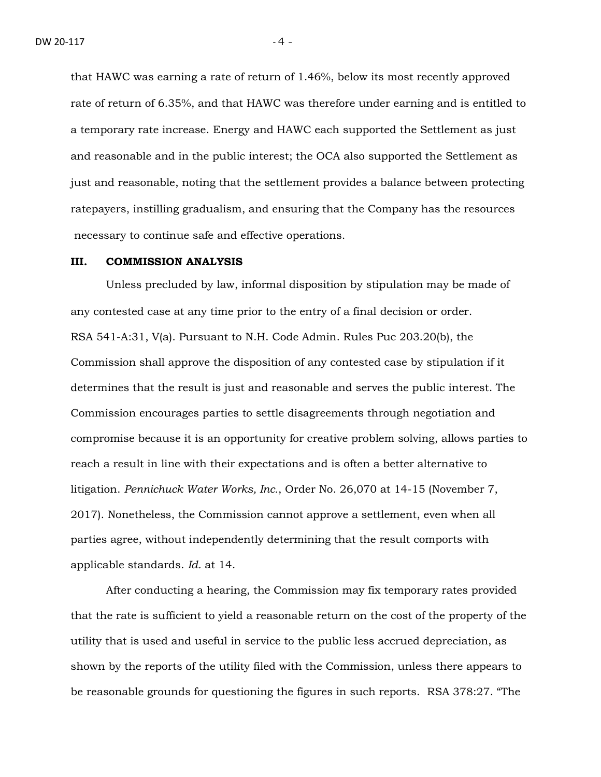that HAWC was earning a rate of return of 1.46%, below its most recently approved rate of return of 6.35%, and that HAWC was therefore under earning and is entitled to a temporary rate increase. Energy and HAWC each supported the Settlement as just and reasonable and in the public interest; the OCA also supported the Settlement as just and reasonable, noting that the settlement provides a balance between protecting ratepayers, instilling gradualism, and ensuring that the Company has the resources necessary to continue safe and effective operations.

#### **III. COMMISSION ANALYSIS**

Unless precluded by law, informal disposition by stipulation may be made of any contested case at any time prior to the entry of a final decision or order. RSA 541-A:31, V(a). Pursuant to N.H. Code Admin. Rules Puc 203.20(b), the Commission shall approve the disposition of any contested case by stipulation if it determines that the result is just and reasonable and serves the public interest. The Commission encourages parties to settle disagreements through negotiation and compromise because it is an opportunity for creative problem solving, allows parties to reach a result in line with their expectations and is often a better alternative to litigation. *Pennichuck Water Works, Inc.*, Order No. 26,070 at 14-15 (November 7, 2017). Nonetheless, the Commission cannot approve a settlement, even when all parties agree, without independently determining that the result comports with applicable standards. *Id.* at 14.

After conducting a hearing, the Commission may fix temporary rates provided that the rate is sufficient to yield a reasonable return on the cost of the property of the utility that is used and useful in service to the public less accrued depreciation, as shown by the reports of the utility filed with the Commission, unless there appears to be reasonable grounds for questioning the figures in such reports. RSA 378:27. "The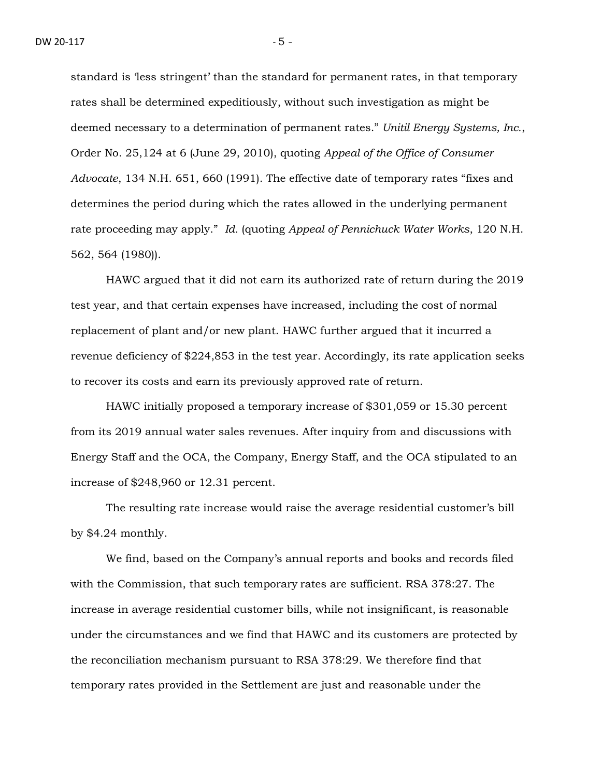standard is 'less stringent' than the standard for permanent rates, in that temporary rates shall be determined expeditiously, without such investigation as might be deemed necessary to a determination of permanent rates." *Unitil Energy Systems, Inc.*, Order No. 25,124 at 6 (June 29, 2010), quoting *Appeal of the Office of Consumer Advocate*, 134 N.H. 651, 660 (1991). The effective date of temporary rates "fixes and determines the period during which the rates allowed in the underlying permanent rate proceeding may apply." *Id.* (quoting *Appeal of Pennichuck Water Works*, 120 N.H. 562, 564 (1980)).

HAWC argued that it did not earn its authorized rate of return during the 2019 test year, and that certain expenses have increased, including the cost of normal replacement of plant and/or new plant. HAWC further argued that it incurred a revenue deficiency of \$224,853 in the test year. Accordingly, its rate application seeks to recover its costs and earn its previously approved rate of return.

HAWC initially proposed a temporary increase of \$301,059 or 15.30 percent from its 2019 annual water sales revenues. After inquiry from and discussions with Energy Staff and the OCA, the Company, Energy Staff, and the OCA stipulated to an increase of \$248,960 or 12.31 percent.

The resulting rate increase would raise the average residential customer's bill by \$4.24 monthly.

We find, based on the Company's annual reports and books and records filed with the Commission, that such temporary rates are sufficient. RSA 378:27. The increase in average residential customer bills, while not insignificant, is reasonable under the circumstances and we find that HAWC and its customers are protected by the reconciliation mechanism pursuant to RSA 378:29. We therefore find that temporary rates provided in the Settlement are just and reasonable under the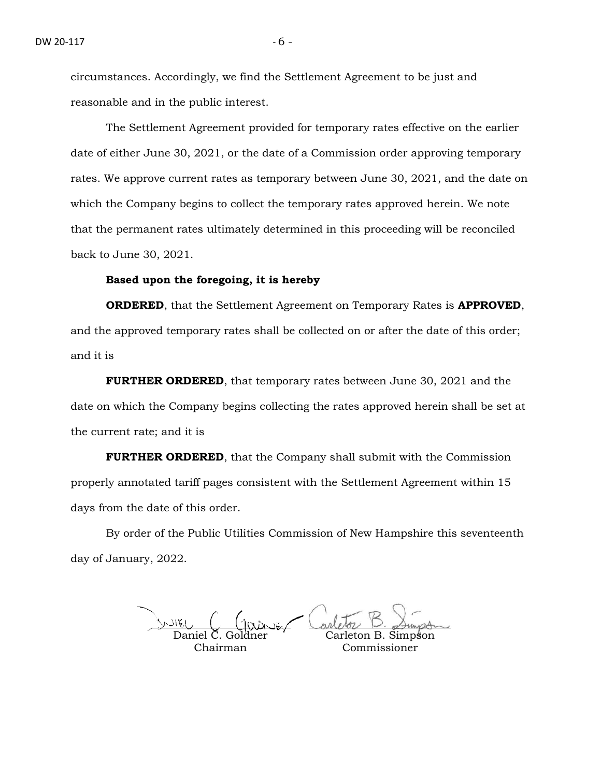circumstances. Accordingly, we find the Settlement Agreement to be just and reasonable and in the public interest.

The Settlement Agreement provided for temporary rates effective on the earlier date of either June 30, 2021, or the date of a Commission order approving temporary rates. We approve current rates as temporary between June 30, 2021, and the date on which the Company begins to collect the temporary rates approved herein. We note that the permanent rates ultimately determined in this proceeding will be reconciled back to June 30, 2021.

### **Based upon the foregoing, it is hereby**

**ORDERED**, that the Settlement Agreement on Temporary Rates is **APPROVED**, and the approved temporary rates shall be collected on or after the date of this order; and it is

**FURTHER ORDERED**, that temporary rates between June 30, 2021 and the date on which the Company begins collecting the rates approved herein shall be set at the current rate; and it is

**FURTHER ORDERED**, that the Company shall submit with the Commission properly annotated tariff pages consistent with the Settlement Agreement within 15 days from the date of this order.

By order of the Public Utilities Commission of New Hampshire this seventeenth day of January, 2022.

Daniel C. Goldner

Chairman

Carleton B. Simpson Commissioner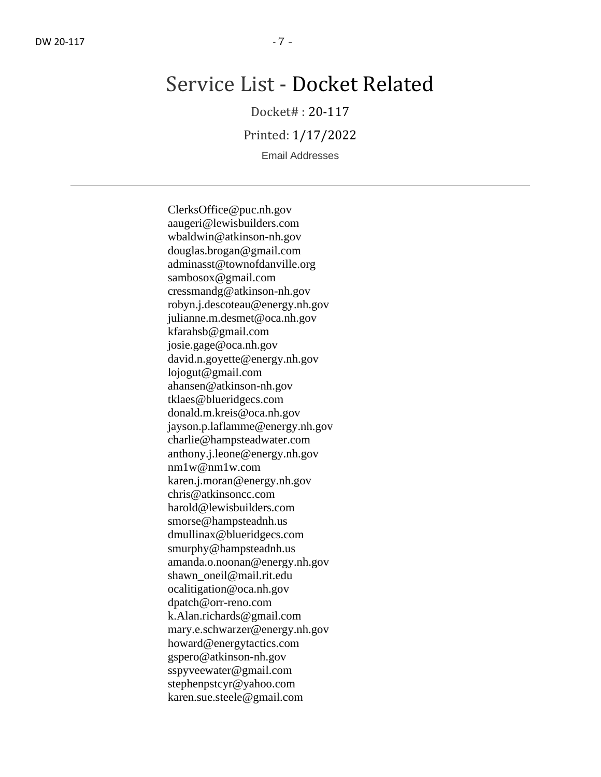# Service List - Docket Related

Docket# : 20-117

Printed: 1/17/2022

Email Addresses

ClerksOffice@puc.nh.gov aaugeri@lewisbuilders.com wbaldwin@atkinson-nh.gov douglas.brogan@gmail.com adminasst@townofdanville.org sambosox@gmail.com cressmandg@atkinson-nh.gov robyn.j.descoteau@energy.nh.gov julianne.m.desmet@oca.nh.gov kfarahsb@gmail.com josie.gage@oca.nh.gov david.n.goyette@energy.nh.gov lojogut@gmail.com ahansen@atkinson-nh.gov tklaes@blueridgecs.com donald.m.kreis@oca.nh.gov jayson.p.laflamme@energy.nh.gov charlie@hampsteadwater.com anthony.j.leone@energy.nh.gov nm1w@nm1w.com karen.j.moran@energy.nh.gov chris@atkinsoncc.com harold@lewisbuilders.com smorse@hampsteadnh.us dmullinax@blueridgecs.com smurphy@hampsteadnh.us amanda.o.noonan@energy.nh.gov shawn\_oneil@mail.rit.edu ocalitigation@oca.nh.gov dpatch@orr-reno.com k.Alan.richards@gmail.com mary.e.schwarzer@energy.nh.gov howard@energytactics.com gspero@atkinson-nh.gov sspyveewater@gmail.com stephenpstcyr@yahoo.com karen.sue.steele@gmail.com